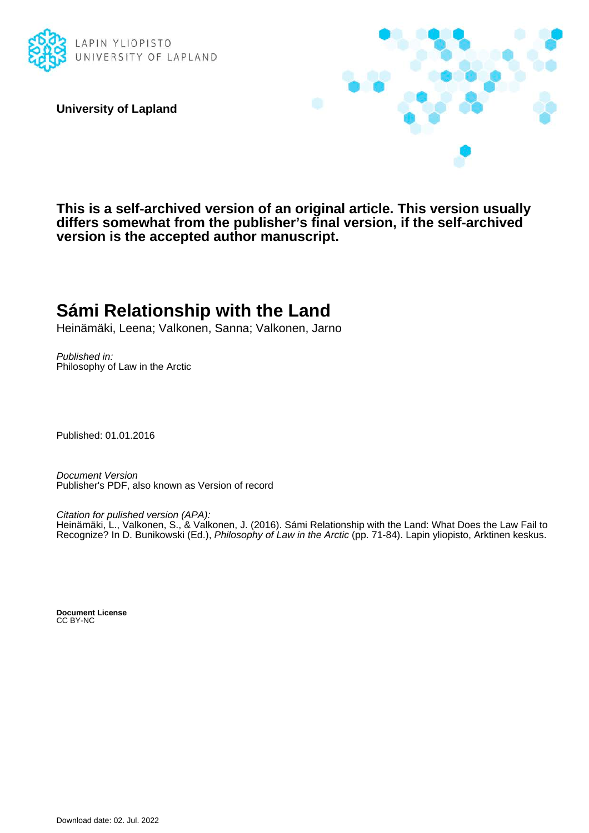

**University of Lapland**



**This is a self-archived version of an original article. This version usually differs somewhat from the publisher's final version, if the self-archived version is the accepted author manuscript.**

# **Sámi Relationship with the Land**

Heinämäki, Leena; Valkonen, Sanna; Valkonen, Jarno

Published in: Philosophy of Law in the Arctic

Published: 01.01.2016

Document Version Publisher's PDF, also known as Version of record

Citation for pulished version (APA):

Heinämäki, L., Valkonen, S., & Valkonen, J. (2016). Sámi Relationship with the Land: What Does the Law Fail to Recognize? In D. Bunikowski (Ed.), Philosophy of Law in the Arctic (pp. 71-84). Lapin yliopisto, Arktinen keskus.

**Document License** CC BY-NC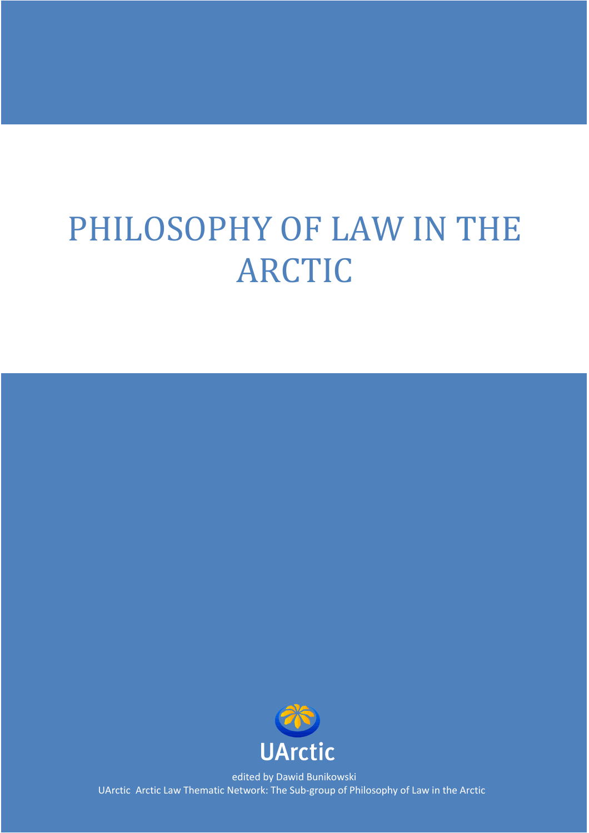# PHILOSOPHY OF LAW IN THE ARCTIC



edited by Dawid Bunikowski UArctic Arctic Law Thematic Network: The Sub-group of Philosophy of Law in the Arctic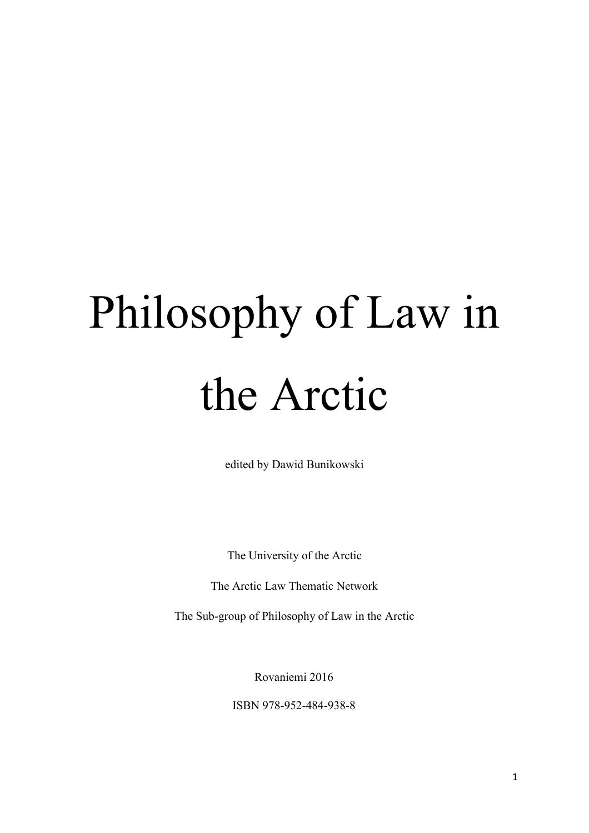# Philosophy of Law in the Arctic

edited by Dawid Bunikowski

The University of the Arctic

The Arctic Law Thematic Network

The Sub-group of Philosophy of Law in the Arctic

Rovaniemi 2016

ISBN 978-952-484-938-8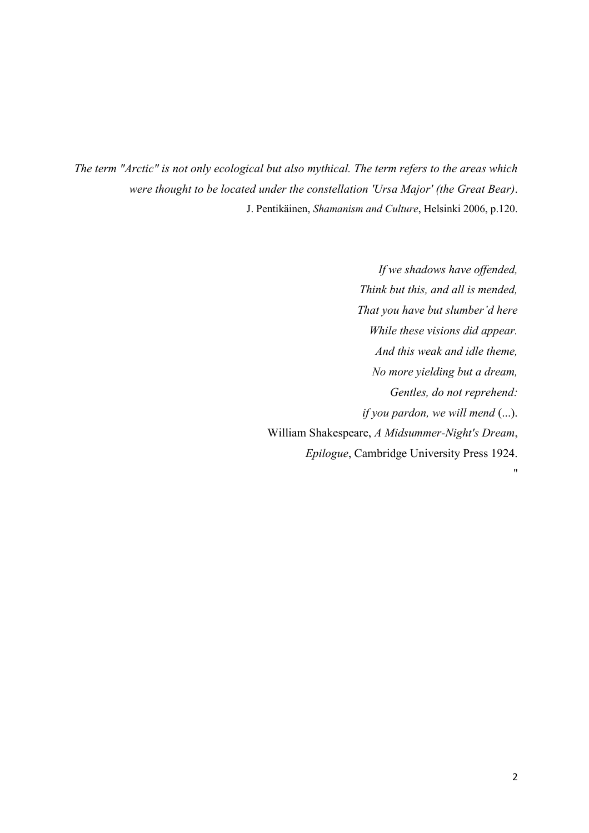*The term "Arctic" is not only ecological but also mythical. The term refers to the areas which were thought to be located under the constellation 'Ursa Major' (the Great Bear)*. J. Pentikäinen, *Shamanism and Culture*, Helsinki 2006, p.120.

> *If we shadows have offended, Think but this, and all is mended, That you have but slumber'd here While these visions did appear. And this weak and idle theme, No more yielding but a dream, Gentles, do not reprehend: if you pardon, we will mend* (...). William Shakespeare, *A Midsummer-Night's Dream*, *Epilogue*, Cambridge University Press 1924.

"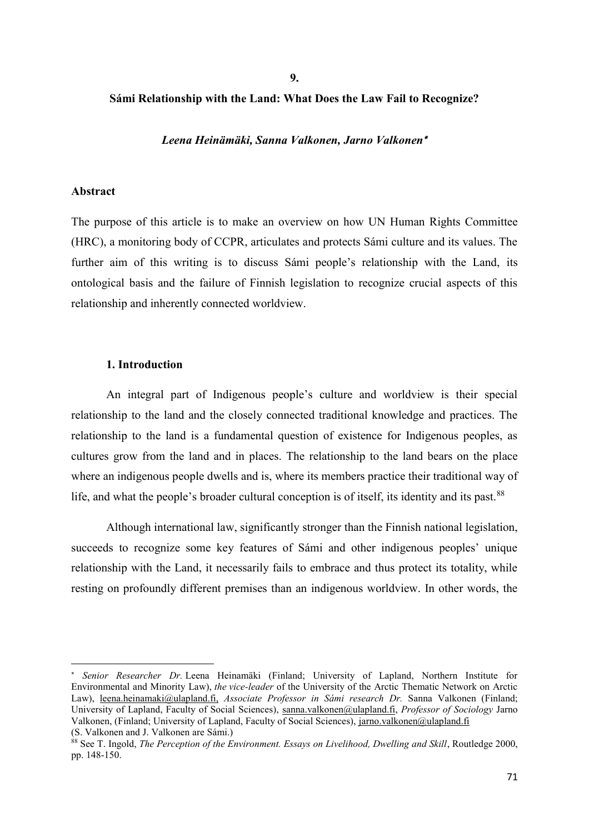**9.** 

# **Sámi Relationship with the Land: What Does the Law Fail to Recognize?**

*Leena Heinämäki, Sanna Valkonen, Jarno Valkonen*

# **Abstract**

The purpose of this article is to make an overview on how UN Human Rights Committee (HRC), a monitoring body of CCPR, articulates and protects Sámi culture and its values. The further aim of this writing is to discuss Sámi people's relationship with the Land, its ontological basis and the failure of Finnish legislation to recognize crucial aspects of this relationship and inherently connected worldview.

#### **1. Introduction**

An integral part of Indigenous people's culture and worldview is their special relationship to the land and the closely connected traditional knowledge and practices. The relationship to the land is a fundamental question of existence for Indigenous peoples, as cultures grow from the land and in places. The relationship to the land bears on the place where an indigenous people dwells and is, where its members practice their traditional way of life, and what the people's broader cultural conception is of itself, its identity and its past.<sup>88</sup>

Although international law, significantly stronger than the Finnish national legislation, succeeds to recognize some key features of Sámi and other indigenous peoples' unique relationship with the Land, it necessarily fails to embrace and thus protect its totality, while resting on profoundly different premises than an indigenous worldview. In other words, the

 *Senior Researcher Dr.* Leena Heinamäki (Finland; University of Lapland, Northern Institute for Environmental and Minority Law), *the vice-leader* of the University of the Arctic Thematic Network on Arctic Law), leena.heinamaki@ulapland.fi, *Associate Professor in Sámi research Dr.* Sanna Valkonen (Finland; University of Lapland, Faculty of Social Sciences), sanna.valkonen@ulapland.fi, *Professor of Sociology* Jarno Valkonen, (Finland; University of Lapland, Faculty of Social Sciences), jarno.valkonen@ulapland.fi (S. Valkonen and J. Valkonen are Sámi.)

<sup>88</sup> See T. Ingold, *The Perception of the Environment. Essays on Livelihood, Dwelling and Skill*, Routledge 2000, pp. 148-150.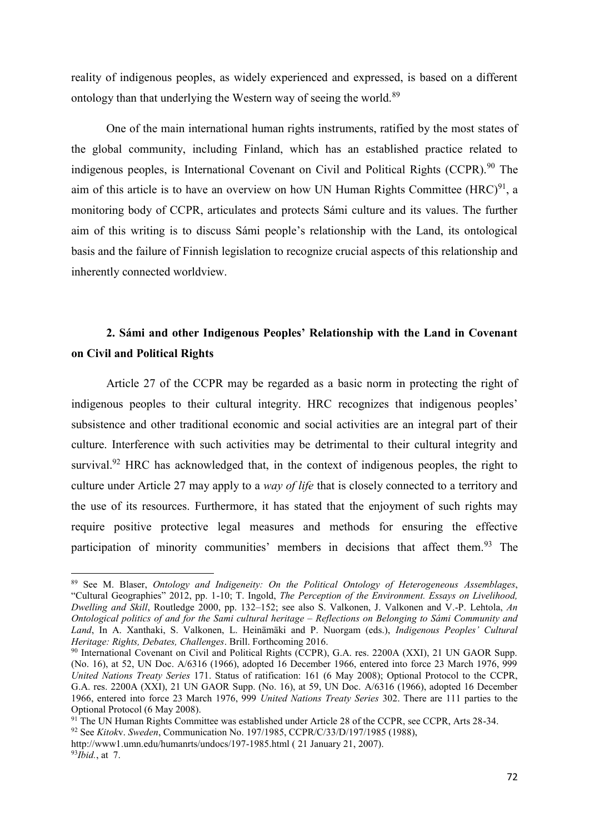reality of indigenous peoples, as widely experienced and expressed, is based on a different ontology than that underlying the Western way of seeing the world.<sup>89</sup>

One of the main international human rights instruments, ratified by the most states of the global community, including Finland, which has an established practice related to indigenous peoples, is International Covenant on Civil and Political Rights (CCPR).<sup>90</sup> The aim of this article is to have an overview on how UN Human Rights Committee  $(HRC)^{91}$ , a monitoring body of CCPR, articulates and protects Sámi culture and its values. The further aim of this writing is to discuss Sámi people's relationship with the Land, its ontological basis and the failure of Finnish legislation to recognize crucial aspects of this relationship and inherently connected worldview.

# **2. Sámi and other Indigenous Peoples' Relationship with the Land in Covenant on Civil and Political Rights**

Article 27 of the CCPR may be regarded as a basic norm in protecting the right of indigenous peoples to their cultural integrity. HRC recognizes that indigenous peoples' subsistence and other traditional economic and social activities are an integral part of their culture. Interference with such activities may be detrimental to their cultural integrity and survival.<sup>92</sup> HRC has acknowledged that, in the context of indigenous peoples, the right to culture under Article 27 may apply to a *way of life* that is closely connected to a territory and the use of its resources. Furthermore, it has stated that the enjoyment of such rights may require positive protective legal measures and methods for ensuring the effective participation of minority communities' members in decisions that affect them.<sup>93</sup> The

<sup>89</sup> See M. Blaser, *Ontology and Indigeneity: On the Political Ontology of Heterogeneous Assemblages*, "Cultural Geographies" 2012, pp. 1-10; T. Ingold, *The Perception of the Environment. Essays on Livelihood, Dwelling and Skill*, Routledge 2000, pp. 132–152; see also S. Valkonen, J. Valkonen and V.-P. Lehtola, *An Ontological politics of and for the Sami cultural heritage – Reflections on Belonging to Sámi Community and Land*, In A. Xanthaki, S. Valkonen, L. Heinämäki and P. Nuorgam (eds.), *Indigenous Peoples' Cultural Heritage: Rights, Debates, Challenges*. Brill. Forthcoming 2016.

<sup>90</sup> International Covenant on Civil and Political Rights (CCPR), G.A. res. 2200A (XXI), 21 UN GAOR Supp. (No. 16), at 52, UN Doc. A/6316 (1966), adopted 16 December 1966, entered into force 23 March 1976, 999 *United Nations Treaty Series* 171. Status of ratification: 161 (6 May 2008); Optional Protocol to the CCPR, G.A. res. 2200A (XXI), 21 UN GAOR Supp. (No. 16), at 59, UN Doc. A/6316 (1966), adopted 16 December 1966, entered into force 23 March 1976, 999 *United Nations Treaty Series* 302. There are 111 parties to the Optional Protocol (6 May 2008).

<sup>&</sup>lt;sup>91</sup> The UN Human Rights Committee was established under Article 28 of the CCPR, see CCPR, Arts 28-34.

<sup>92</sup> See *Kitok*v. *Sweden*, Communication No. 197/1985, CCPR/C/33/D/197/1985 (1988),

http://www1.umn.edu/humanrts/undocs/197-1985.html ( 21 January 21, 2007). 93*Ibid.*, at 7.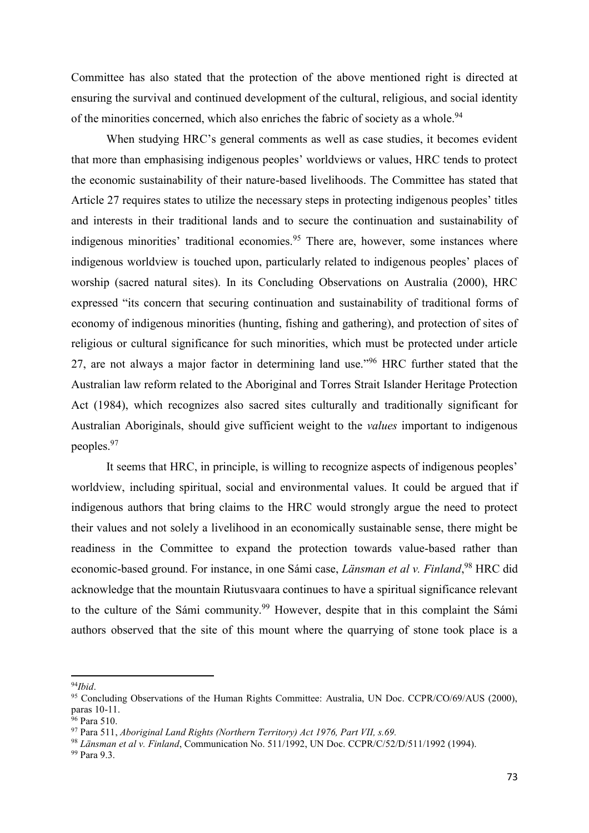Committee has also stated that the protection of the above mentioned right is directed at ensuring the survival and continued development of the cultural, religious, and social identity of the minorities concerned, which also enriches the fabric of society as a whole.<sup>94</sup>

When studying HRC's general comments as well as case studies, it becomes evident that more than emphasising indigenous peoples' worldviews or values, HRC tends to protect the economic sustainability of their nature-based livelihoods. The Committee has stated that Article 27 requires states to utilize the necessary steps in protecting indigenous peoples' titles and interests in their traditional lands and to secure the continuation and sustainability of indigenous minorities' traditional economies.<sup>95</sup> There are, however, some instances where indigenous worldview is touched upon, particularly related to indigenous peoples' places of worship (sacred natural sites). In its Concluding Observations on Australia (2000), HRC expressed "its concern that securing continuation and sustainability of traditional forms of economy of indigenous minorities (hunting, fishing and gathering), and protection of sites of religious or cultural significance for such minorities, which must be protected under article 27, are not always a major factor in determining land use."<sup>96</sup> HRC further stated that the Australian law reform related to the Aboriginal and Torres Strait Islander Heritage Protection Act (1984), which recognizes also sacred sites culturally and traditionally significant for Australian Aboriginals, should give sufficient weight to the *values* important to indigenous peoples.97

It seems that HRC, in principle, is willing to recognize aspects of indigenous peoples' worldview, including spiritual, social and environmental values. It could be argued that if indigenous authors that bring claims to the HRC would strongly argue the need to protect their values and not solely a livelihood in an economically sustainable sense, there might be readiness in the Committee to expand the protection towards value-based rather than economic-based ground. For instance, in one Sámi case, *Länsman et al v. Finland*, <sup>98</sup> HRC did acknowledge that the mountain Riutusvaara continues to have a spiritual significance relevant to the culture of the Sámi community.<sup>99</sup> However, despite that in this complaint the Sámi authors observed that the site of this mount where the quarrying of stone took place is a

<sup>94</sup>*Ibid*.

<sup>&</sup>lt;sup>95</sup> Concluding Observations of the Human Rights Committee: Australia, UN Doc. CCPR/CO/69/AUS (2000), paras 10-11.

<sup>&</sup>lt;sup>96</sup> Para 510.

<sup>97</sup> Para 511, *Aboriginal Land Rights (Northern Territory) Act 1976, Part VII, s.69.*

<sup>98</sup> *Länsman et al v. Finland*, Communication No. 511/1992, UN Doc. CCPR/C/52/D/511/1992 (1994).

<sup>99</sup> Para 9.3.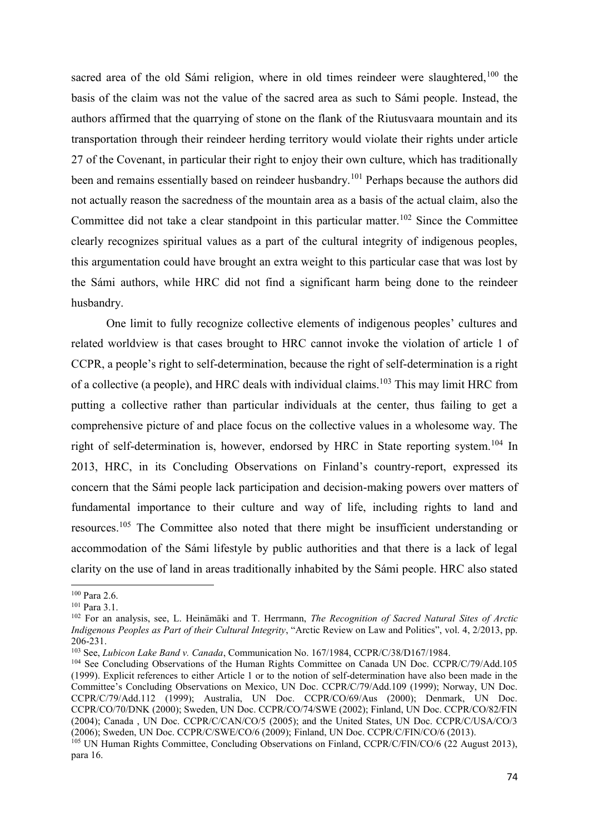sacred area of the old Sámi religion, where in old times reindeer were slaughtered,<sup>100</sup> the basis of the claim was not the value of the sacred area as such to Sámi people. Instead, the authors affirmed that the quarrying of stone on the flank of the Riutusvaara mountain and its transportation through their reindeer herding territory would violate their rights under article 27 of the Covenant, in particular their right to enjoy their own culture, which has traditionally been and remains essentially based on reindeer husbandry.<sup>101</sup> Perhaps because the authors did not actually reason the sacredness of the mountain area as a basis of the actual claim, also the Committee did not take a clear standpoint in this particular matter.<sup>102</sup> Since the Committee clearly recognizes spiritual values as a part of the cultural integrity of indigenous peoples, this argumentation could have brought an extra weight to this particular case that was lost by the Sámi authors, while HRC did not find a significant harm being done to the reindeer husbandry.

One limit to fully recognize collective elements of indigenous peoples' cultures and related worldview is that cases brought to HRC cannot invoke the violation of article 1 of CCPR, a people's right to self-determination, because the right of self-determination is a right of a collective (a people), and HRC deals with individual claims.<sup>103</sup> This may limit HRC from putting a collective rather than particular individuals at the center, thus failing to get a comprehensive picture of and place focus on the collective values in a wholesome way. The right of self-determination is, however, endorsed by HRC in State reporting system.<sup>104</sup> In 2013, HRC, in its Concluding Observations on Finland's country-report, expressed its concern that the Sámi people lack participation and decision-making powers over matters of fundamental importance to their culture and way of life, including rights to land and resources.<sup>105</sup> The Committee also noted that there might be insufficient understanding or accommodation of the Sámi lifestyle by public authorities and that there is a lack of legal clarity on the use of land in areas traditionally inhabited by the Sámi people. HRC also stated

 $\overline{\phantom{a}}$ <sup>100</sup> Para 2.6.

<sup>101</sup> Para 3.1.

<sup>102</sup> For an analysis, see, L. Heinämäki and T. Herrmann, *The Recognition of Sacred Natural Sites of Arctic Indigenous Peoples as Part of their Cultural Integrity*, "Arctic Review on Law and Politics", vol. 4, 2/2013, pp. 206-231.<br><sup>103</sup> See, *Lubicon Lake Band v. Canada*, Communication No. 167/1984, CCPR/C/38/D167/1984.

<sup>&</sup>lt;sup>104</sup> See Concluding Observations of the Human Rights Committee on Canada UN Doc. CCPR/C/79/Add.105 (1999). Explicit references to either Article 1 or to the notion of self-determination have also been made in the Committee's Concluding Observations on Mexico, UN Doc. CCPR/C/79/Add.109 (1999); Norway, UN Doc. CCPR/C/79/Add.112 (1999); Australia, UN Doc. CCPR/CO/69/Aus (2000); Denmark, UN Doc. CCPR/CO/70/DNK (2000); Sweden, UN Doc. CCPR/CO/74/SWE (2002); Finland, UN Doc. CCPR/CO/82/FIN (2004); Canada , UN Doc. CCPR/C/CAN/CO/5 (2005); and the United States, UN Doc. CCPR/C/USA/CO/3 (2006); Sweden, UN Doc. CCPR/C/SWE/CO/6 (2009); Finland, UN Doc. CCPR/C/FIN/CO/6 (2013).

<sup>&</sup>lt;sup>105</sup> UN Human Rights Committee, Concluding Observations on Finland, CCPR/C/FIN/CO/6 (22 August 2013), para 16.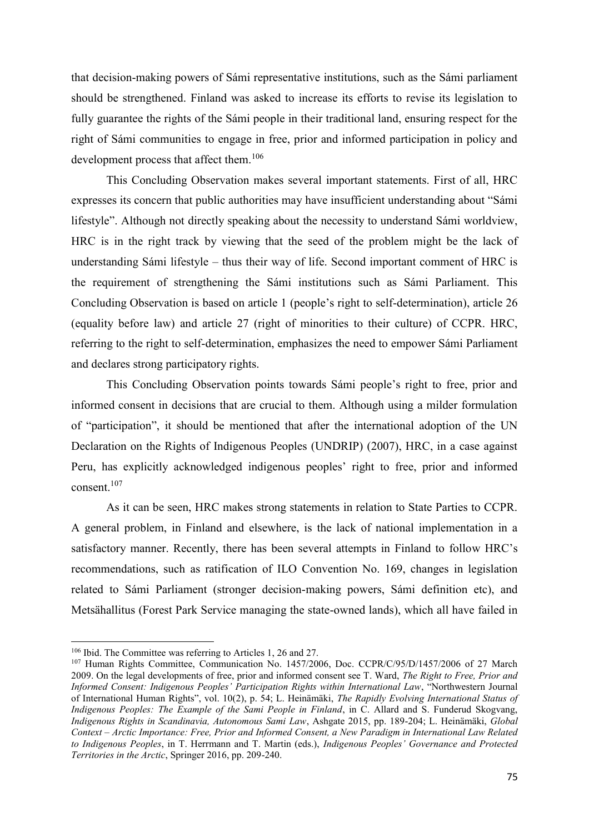that decision-making powers of Sámi representative institutions, such as the Sámi parliament should be strengthened. Finland was asked to increase its efforts to revise its legislation to fully guarantee the rights of the Sámi people in their traditional land, ensuring respect for the right of Sámi communities to engage in free, prior and informed participation in policy and development process that affect them.<sup>106</sup>

This Concluding Observation makes several important statements. First of all, HRC expresses its concern that public authorities may have insufficient understanding about "Sámi lifestyle". Although not directly speaking about the necessity to understand Sámi worldview, HRC is in the right track by viewing that the seed of the problem might be the lack of understanding Sámi lifestyle – thus their way of life. Second important comment of HRC is the requirement of strengthening the Sámi institutions such as Sámi Parliament. This Concluding Observation is based on article 1 (people's right to self-determination), article 26 (equality before law) and article 27 (right of minorities to their culture) of CCPR. HRC, referring to the right to self-determination, emphasizes the need to empower Sámi Parliament and declares strong participatory rights.

This Concluding Observation points towards Sámi people's right to free, prior and informed consent in decisions that are crucial to them. Although using a milder formulation of "participation", it should be mentioned that after the international adoption of the UN Declaration on the Rights of Indigenous Peoples (UNDRIP) (2007), HRC, in a case against Peru, has explicitly acknowledged indigenous peoples' right to free, prior and informed consent. $107$ 

As it can be seen, HRC makes strong statements in relation to State Parties to CCPR. A general problem, in Finland and elsewhere, is the lack of national implementation in a satisfactory manner. Recently, there has been several attempts in Finland to follow HRC's recommendations, such as ratification of ILO Convention No. 169, changes in legislation related to Sámi Parliament (stronger decision-making powers, Sámi definition etc), and Metsähallitus (Forest Park Service managing the state-owned lands), which all have failed in

<sup>106</sup> Ibid. The Committee was referring to Articles 1, 26 and 27.

<sup>&</sup>lt;sup>107</sup> Human Rights Committee, Communication No. 1457/2006, Doc. CCPR/C/95/D/1457/2006 of 27 March 2009. On the legal developments of free, prior and informed consent see T. Ward, *The Right to Free, Prior and Informed Consent: Indigenous Peoples' Participation Rights within International Law*, "Northwestern Journal of International Human Rights", vol. 10(2), p. 54; L. Heinämäki, *The Rapidly Evolving International Status of Indigenous Peoples: The Example of the Sami People in Finland*, in C. Allard and S. Funderud Skogvang, *Indigenous Rights in Scandinavia, Autonomous Sami Law*, Ashgate 2015, pp. 189-204; L. Heinämäki, *Global Context – Arctic Importance: Free, Prior and Informed Consent, a New Paradigm in International Law Related to Indigenous Peoples*, in T. Herrmann and T. Martin (eds.), *Indigenous Peoples' Governance and Protected Territories in the Arctic*, Springer 2016, pp. 209-240.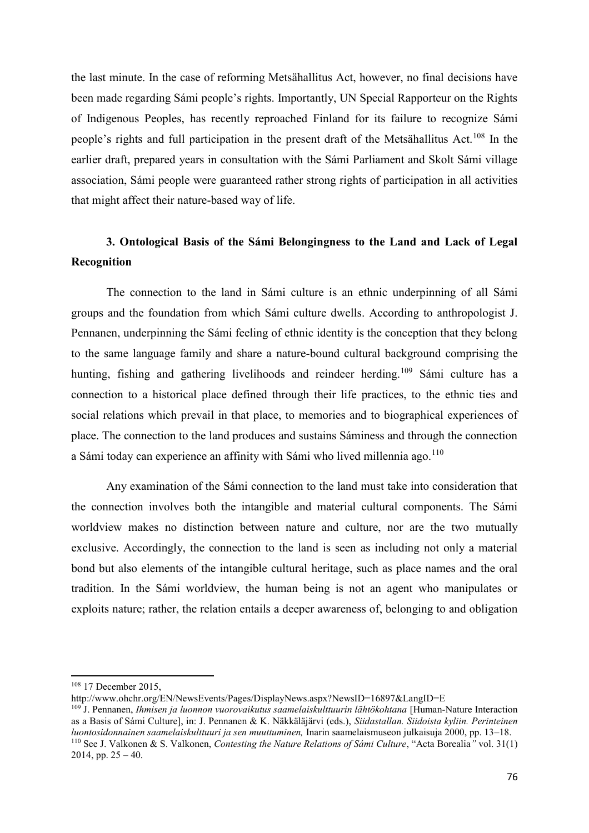the last minute. In the case of reforming Metsähallitus Act, however, no final decisions have been made regarding Sámi people's rights. Importantly, UN Special Rapporteur on the Rights of Indigenous Peoples, has recently reproached Finland for its failure to recognize Sámi people's rights and full participation in the present draft of the Metsähallitus Act.<sup>108</sup> In the earlier draft, prepared years in consultation with the Sámi Parliament and Skolt Sámi village association, Sámi people were guaranteed rather strong rights of participation in all activities that might affect their nature-based way of life.

# **3. Ontological Basis of the Sámi Belongingness to the Land and Lack of Legal Recognition**

The connection to the land in Sámi culture is an ethnic underpinning of all Sámi groups and the foundation from which Sámi culture dwells. According to anthropologist J. Pennanen, underpinning the Sámi feeling of ethnic identity is the conception that they belong to the same language family and share a nature-bound cultural background comprising the hunting, fishing and gathering livelihoods and reindeer herding.<sup>109</sup> Sámi culture has a connection to a historical place defined through their life practices, to the ethnic ties and social relations which prevail in that place, to memories and to biographical experiences of place. The connection to the land produces and sustains Sáminess and through the connection a Sámi today can experience an affinity with Sámi who lived millennia ago.<sup>110</sup>

Any examination of the Sámi connection to the land must take into consideration that the connection involves both the intangible and material cultural components. The Sámi worldview makes no distinction between nature and culture, nor are the two mutually exclusive. Accordingly, the connection to the land is seen as including not only a material bond but also elements of the intangible cultural heritage, such as place names and the oral tradition. In the Sámi worldview, the human being is not an agent who manipulates or exploits nature; rather, the relation entails a deeper awareness of, belonging to and obligation

<sup>&</sup>lt;sup>108</sup> 17 December 2015,

http://www.ohchr.org/EN/NewsEvents/Pages/DisplayNews.aspx?NewsID=16897&LangID=E

<sup>109</sup> J. Pennanen, *Ihmisen ja luonnon vuorovaikutus saamelaiskulttuurin lähtökohtana* [Human-Nature Interaction as a Basis of Sámi Culture], in: J. Pennanen & K. Näkkäläjärvi (eds.), *Siidastallan. Siidoista kyliin. Perinteinen luontosidonnainen saamelaiskulttuuri ja sen muuttuminen,* Inarin saamelaismuseon julkaisuja 2000, pp. 13–18. <sup>110</sup> See J. Valkonen & S. Valkonen, *Contesting the Nature Relations of Sámi Culture*, "Acta Borealia*"* vol. 31(1) 2014, pp.  $25 - 40$ .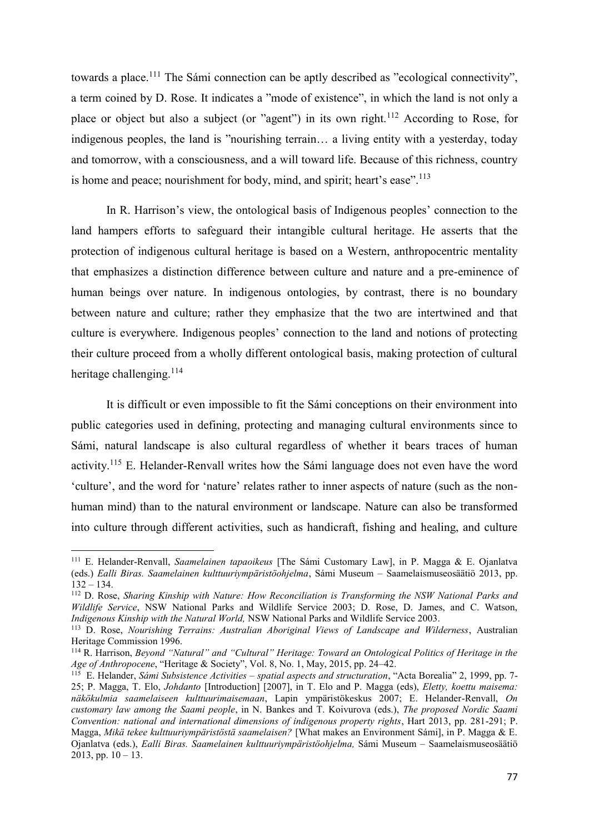towards a place.<sup>111</sup> The Sámi connection can be aptly described as "ecological connectivity", a term coined by D. Rose. It indicates a "mode of existence", in which the land is not only a place or object but also a subject (or "agent") in its own right.<sup>112</sup> According to Rose, for indigenous peoples, the land is "nourishing terrain… a living entity with a yesterday, today and tomorrow, with a consciousness, and a will toward life. Because of this richness, country is home and peace; nourishment for body, mind, and spirit; heart's ease".<sup>113</sup>

In R. Harrison's view, the ontological basis of Indigenous peoples' connection to the land hampers efforts to safeguard their intangible cultural heritage. He asserts that the protection of indigenous cultural heritage is based on a Western, anthropocentric mentality that emphasizes a distinction difference between culture and nature and a pre-eminence of human beings over nature. In indigenous ontologies, by contrast, there is no boundary between nature and culture; rather they emphasize that the two are intertwined and that culture is everywhere. Indigenous peoples' connection to the land and notions of protecting their culture proceed from a wholly different ontological basis, making protection of cultural heritage challenging.<sup>114</sup>

It is difficult or even impossible to fit the Sámi conceptions on their environment into public categories used in defining, protecting and managing cultural environments since to Sámi, natural landscape is also cultural regardless of whether it bears traces of human activity.<sup>115</sup> E. Helander-Renvall writes how the Sámi language does not even have the word 'culture', and the word for 'nature' relates rather to inner aspects of nature (such as the nonhuman mind) than to the natural environment or landscape. Nature can also be transformed into culture through different activities, such as handicraft, fishing and healing, and culture

 $\overline{\phantom{a}}$ 

<sup>111</sup> E. Helander-Renvall, *Saamelainen tapaoikeus* [The Sámi Customary Law], in P. Magga & E. Ojanlatva (eds.) *Ealli Biras. Saamelainen kulttuuriympäristöohjelma*, Sámi Museum – Saamelaismuseosäätiö 2013, pp. 132 – 134.

<sup>112</sup> D. Rose, *Sharing Kinship with Nature: How Reconciliation is Transforming the NSW National Parks and Wildlife Service*, NSW National Parks and Wildlife Service 2003; D. Rose, D. James, and C. Watson, *Indigenous Kinship with the Natural World,* NSW National Parks and Wildlife Service 2003.

<sup>113</sup> D. Rose, *Nourishing Terrains: Australian Aboriginal Views of Landscape and Wilderness*, Australian Heritage Commission 1996.

<sup>114</sup> R. Harrison, *Beyond "Natural" and "Cultural" Heritage: Toward an Ontological Politics of Heritage in the Age of Anthropocene*, "Heritage & Society", Vol. 8, No. 1, May, 2015, pp. 24–42.

<sup>115</sup> E. Helander, *Sámi Subsistence Activities – spatial aspects and structuration*, "Acta Borealia" 2, 1999, pp. 7- 25; P. Magga, T. Elo, *Johdanto* [Introduction] [2007], in T. Elo and P. Magga (eds), *Eletty, koettu maisema: näkökulmia saamelaiseen kulttuurimaisemaan*, Lapin ympäristökeskus 2007; E. Helander-Renvall, *On customary law among the Saami people*, in N. Bankes and T. Koivurova (eds.), *The proposed Nordic Saami Convention: national and international dimensions of indigenous property rights*, Hart 2013, pp. 281-291; P. Magga, *Mikä tekee kulttuuriympäristöstä saamelaisen?* [What makes an Environment Sámi], in P. Magga & E. Ojanlatva (eds.), *Ealli Biras. Saamelainen kulttuuriympäristöohjelma,* Sámi Museum – Saamelaismuseosäätiö  $2013$ , pp.  $10 - 13$ .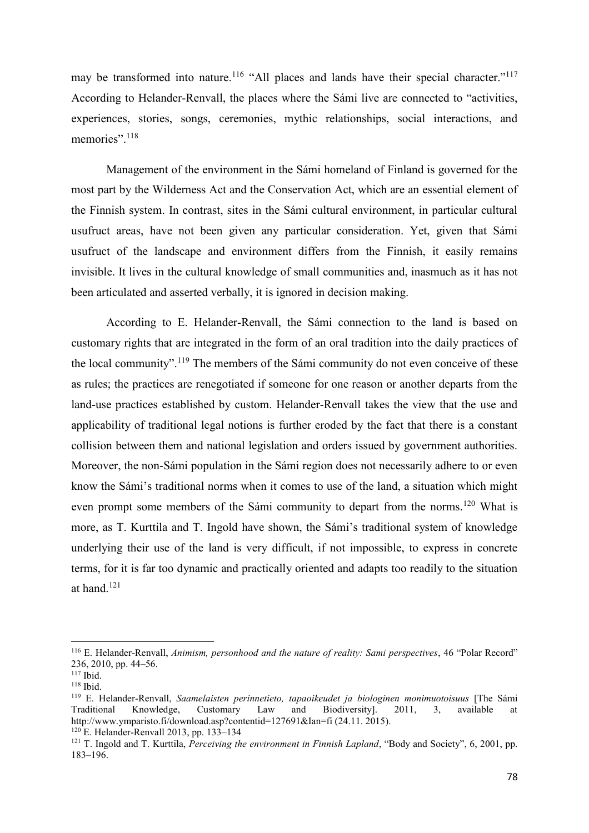may be transformed into nature.<sup>116</sup> "All places and lands have their special character."<sup>117</sup> According to Helander-Renvall, the places where the Sámi live are connected to "activities, experiences, stories, songs, ceremonies, mythic relationships, social interactions, and memories".<sup>118</sup>

Management of the environment in the Sámi homeland of Finland is governed for the most part by the Wilderness Act and the Conservation Act, which are an essential element of the Finnish system. In contrast, sites in the Sámi cultural environment, in particular cultural usufruct areas, have not been given any particular consideration. Yet, given that Sámi usufruct of the landscape and environment differs from the Finnish, it easily remains invisible. It lives in the cultural knowledge of small communities and, inasmuch as it has not been articulated and asserted verbally, it is ignored in decision making.

According to E. Helander-Renvall, the Sámi connection to the land is based on customary rights that are integrated in the form of an oral tradition into the daily practices of the local community".<sup>119</sup> The members of the Sámi community do not even conceive of these as rules; the practices are renegotiated if someone for one reason or another departs from the land-use practices established by custom. Helander-Renvall takes the view that the use and applicability of traditional legal notions is further eroded by the fact that there is a constant collision between them and national legislation and orders issued by government authorities. Moreover, the non-Sámi population in the Sámi region does not necessarily adhere to or even know the Sámi's traditional norms when it comes to use of the land, a situation which might even prompt some members of the Sámi community to depart from the norms.<sup>120</sup> What is more, as T. Kurttila and T. Ingold have shown, the Sámi's traditional system of knowledge underlying their use of the land is very difficult, if not impossible, to express in concrete terms, for it is far too dynamic and practically oriented and adapts too readily to the situation at hand. $121$ 

<sup>116</sup> E. Helander-Renvall, *Animism, personhood and the nature of reality: Sami perspectives*, 46 "Polar Record" 236, 2010, pp. 44–56. 117 Ibid.

<sup>118</sup> Ibid.

<sup>119</sup> E. Helander-Renvall, *Saamelaisten perinnetieto, tapaoikeudet ja biologinen monimuotoisuus* [The Sámi Traditional Knowledge, Customary Law and Biodiversity]. 2011, 3, available at http://www.ymparisto.fi/download.asp?contentid=127691&Ian=fi (24.11. 2015).

<sup>120</sup> E. Helander-Renvall 2013, pp. 133–134

<sup>&</sup>lt;sup>121</sup> T. Ingold and T. Kurttila, *Perceiving the environment in Finnish Lapland*, "Body and Society", 6, 2001, pp. 183–196.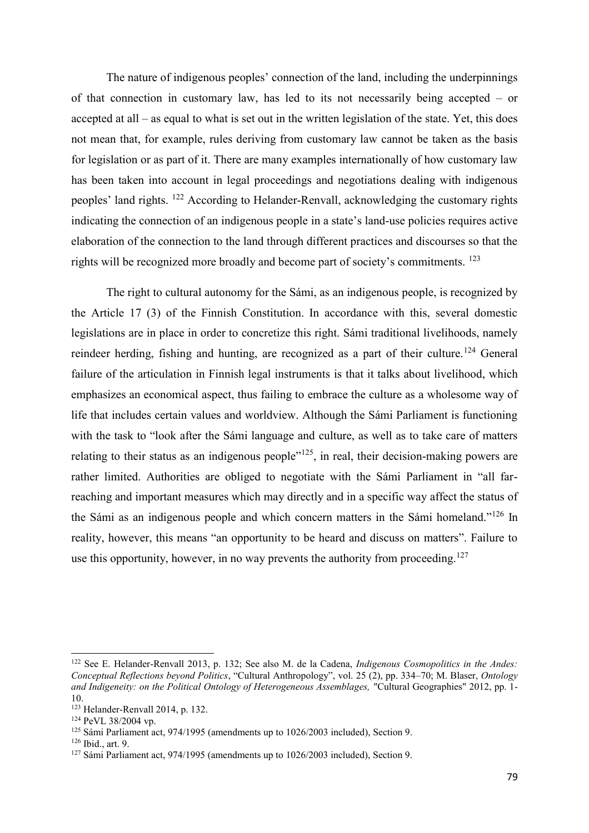The nature of indigenous peoples' connection of the land, including the underpinnings of that connection in customary law, has led to its not necessarily being accepted – or accepted at all – as equal to what is set out in the written legislation of the state. Yet, this does not mean that, for example, rules deriving from customary law cannot be taken as the basis for legislation or as part of it. There are many examples internationally of how customary law has been taken into account in legal proceedings and negotiations dealing with indigenous peoples' land rights. <sup>122</sup> According to Helander-Renvall, acknowledging the customary rights indicating the connection of an indigenous people in a state's land-use policies requires active elaboration of the connection to the land through different practices and discourses so that the rights will be recognized more broadly and become part of society's commitments. <sup>123</sup>

The right to cultural autonomy for the Sámi, as an indigenous people, is recognized by the Article 17 (3) of the Finnish Constitution. In accordance with this, several domestic legislations are in place in order to concretize this right. Sámi traditional livelihoods, namely reindeer herding, fishing and hunting, are recognized as a part of their culture.<sup>124</sup> General failure of the articulation in Finnish legal instruments is that it talks about livelihood, which emphasizes an economical aspect, thus failing to embrace the culture as a wholesome way of life that includes certain values and worldview. Although the Sámi Parliament is functioning with the task to "look after the Sámi language and culture, as well as to take care of matters relating to their status as an indigenous people"<sup>125</sup>, in real, their decision-making powers are rather limited. Authorities are obliged to negotiate with the Sámi Parliament in "all farreaching and important measures which may directly and in a specific way affect the status of the Sámi as an indigenous people and which concern matters in the Sámi homeland."<sup>126</sup> In reality, however, this means "an opportunity to be heard and discuss on matters". Failure to use this opportunity, however, in no way prevents the authority from proceeding.<sup>127</sup>

 $\overline{\phantom{a}}$ 

<sup>122</sup> See E. Helander-Renvall 2013, p. 132; See also M. de la Cadena, *Indigenous Cosmopolitics in the Andes: Conceptual Reflections beyond Politics*, "Cultural Anthropology", vol. 25 (2), pp. 334–70; M. Blaser, *Ontology and Indigeneity: on the Political Ontology of Heterogeneous Assemblages, "*Cultural Geographies" 2012, pp. 1- 10.

<sup>123</sup> Helander-Renvall 2014, p. 132.

<sup>124</sup> PeVL 38/2004 vp.

<sup>125</sup> Sámi Parliament act, 974/1995 (amendments up to 1026/2003 included), Section 9.

<sup>126</sup> Ibid., art. 9.

<sup>127</sup> Sámi Parliament act, 974/1995 (amendments up to 1026/2003 included), Section 9.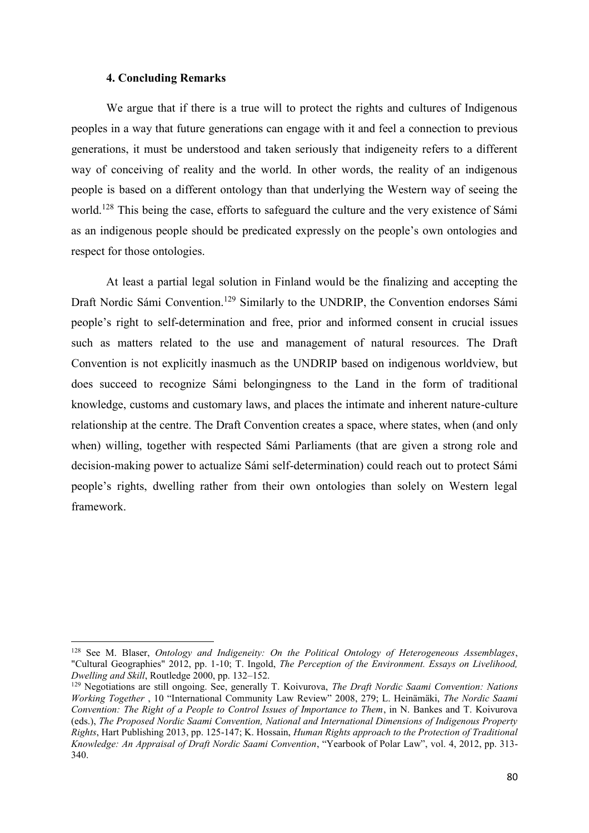### **4. Concluding Remarks**

 $\overline{a}$ 

We argue that if there is a true will to protect the rights and cultures of Indigenous peoples in a way that future generations can engage with it and feel a connection to previous generations, it must be understood and taken seriously that indigeneity refers to a different way of conceiving of reality and the world. In other words, the reality of an indigenous people is based on a different ontology than that underlying the Western way of seeing the world.<sup>128</sup> This being the case, efforts to safeguard the culture and the very existence of Sámi as an indigenous people should be predicated expressly on the people's own ontologies and respect for those ontologies.

At least a partial legal solution in Finland would be the finalizing and accepting the Draft Nordic Sámi Convention.<sup>129</sup> Similarly to the UNDRIP, the Convention endorses Sámi people's right to self-determination and free, prior and informed consent in crucial issues such as matters related to the use and management of natural resources. The Draft Convention is not explicitly inasmuch as the UNDRIP based on indigenous worldview, but does succeed to recognize Sámi belongingness to the Land in the form of traditional knowledge, customs and customary laws, and places the intimate and inherent nature-culture relationship at the centre. The Draft Convention creates a space, where states, when (and only when) willing, together with respected Sámi Parliaments (that are given a strong role and decision-making power to actualize Sámi self-determination) could reach out to protect Sámi people's rights, dwelling rather from their own ontologies than solely on Western legal framework.

<sup>128</sup> See M. Blaser, *Ontology and Indigeneity: On the Political Ontology of Heterogeneous Assemblages*, "Cultural Geographies" 2012, pp. 1-10; T. Ingold, *The Perception of the Environment. Essays on Livelihood, Dwelling and Skill*, Routledge 2000, pp. 132–152.

<sup>129</sup> Negotiations are still ongoing. See, generally T. Koivurova, *The Draft Nordic Saami Convention: Nations Working Together* , 10 "International Community Law Review" 2008, 279; L. Heinämäki, *The Nordic Saami Convention: The Right of a People to Control Issues of Importance to Them*, in N. Bankes and T. Koivurova (eds.), *The Proposed Nordic Saami Convention, National and International Dimensions of Indigenous Property Rights*, Hart Publishing 2013, pp. 125-147; K. Hossain, *Human Rights approach to the Protection of Traditional Knowledge: An Appraisal of Draft Nordic Saami Convention*, "Yearbook of Polar Law", vol. 4, 2012, pp. 313- 340.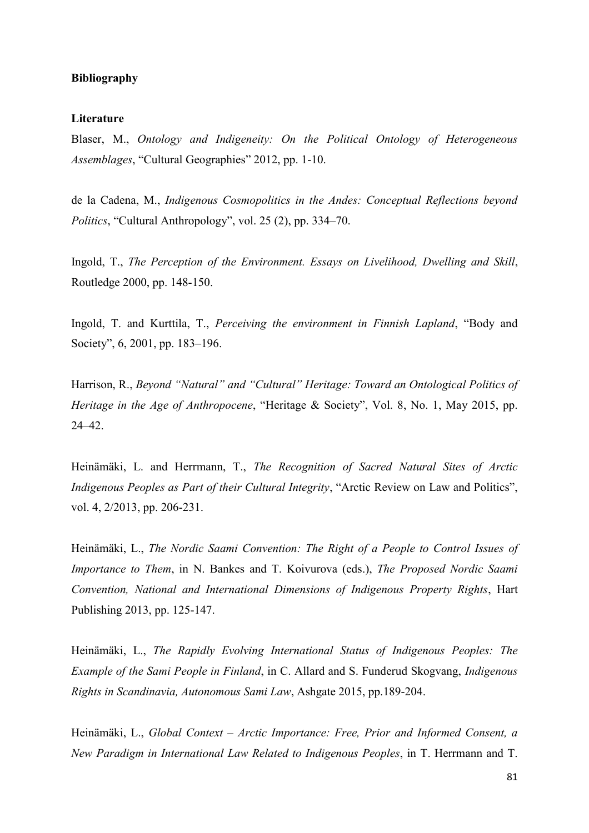### **Bibliography**

#### **Literature**

Blaser, M., *Ontology and Indigeneity: On the Political Ontology of Heterogeneous Assemblages*, "Cultural Geographies" 2012, pp. 1-10.

de la Cadena, M., *Indigenous Cosmopolitics in the Andes: Conceptual Reflections beyond Politics*, "Cultural Anthropology", vol. 25 (2), pp. 334–70.

Ingold, T., *The Perception of the Environment. Essays on Livelihood, Dwelling and Skill*, Routledge 2000, pp. 148-150.

Ingold, T. and Kurttila, T., *Perceiving the environment in Finnish Lapland*, "Body and Society", 6, 2001, pp. 183–196.

Harrison, R., *Beyond "Natural" and "Cultural" Heritage: Toward an Ontological Politics of Heritage in the Age of Anthropocene*, "Heritage & Society", Vol. 8, No. 1, May 2015, pp. 24–42.

Heinämäki, L. and Herrmann, T., *The Recognition of Sacred Natural Sites of Arctic Indigenous Peoples as Part of their Cultural Integrity*, "Arctic Review on Law and Politics", vol. 4, 2/2013, pp. 206-231.

Heinämäki, L., *The Nordic Saami Convention: The Right of a People to Control Issues of Importance to Them*, in N. Bankes and T. Koivurova (eds.), *The Proposed Nordic Saami Convention, National and International Dimensions of Indigenous Property Rights*, Hart Publishing 2013, pp. 125-147.

Heinämäki, L., *The Rapidly Evolving International Status of Indigenous Peoples: The Example of the Sami People in Finland*, in C. Allard and S. Funderud Skogvang, *Indigenous Rights in Scandinavia, Autonomous Sami Law*, Ashgate 2015, pp.189-204.

Heinämäki, L., *Global Context – Arctic Importance: Free, Prior and Informed Consent, a New Paradigm in International Law Related to Indigenous Peoples*, in T. Herrmann and T.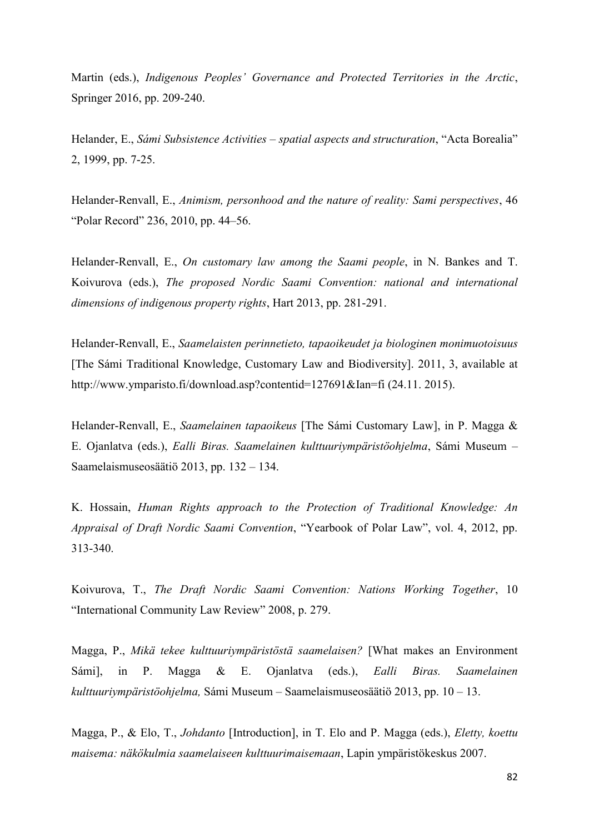Martin (eds.), *Indigenous Peoples' Governance and Protected Territories in the Arctic*, Springer 2016, pp. 209-240.

Helander, E., *Sámi Subsistence Activities – spatial aspects and structuration*, "Acta Borealia" 2, 1999, pp. 7-25.

Helander-Renvall, E., *Animism, personhood and the nature of reality: Sami perspectives*, 46 "Polar Record" 236, 2010, pp. 44–56.

Helander-Renvall, E., *On customary law among the Saami people*, in N. Bankes and T. Koivurova (eds.), *The proposed Nordic Saami Convention: national and international dimensions of indigenous property rights*, Hart 2013, pp. 281-291.

Helander-Renvall, E., *Saamelaisten perinnetieto, tapaoikeudet ja biologinen monimuotoisuus* [The Sámi Traditional Knowledge, Customary Law and Biodiversity]. 2011, 3, available at http://www.ymparisto.fi/download.asp?contentid=127691&Ian=fi (24.11. 2015).

Helander-Renvall, E., *Saamelainen tapaoikeus* [The Sámi Customary Law], in P. Magga & E. Ojanlatva (eds.), *Ealli Biras. Saamelainen kulttuuriympäristöohjelma*, Sámi Museum – Saamelaismuseosäätiö 2013, pp. 132 – 134.

K. Hossain, *Human Rights approach to the Protection of Traditional Knowledge: An Appraisal of Draft Nordic Saami Convention*, "Yearbook of Polar Law", vol. 4, 2012, pp. 313-340.

Koivurova, T., *The Draft Nordic Saami Convention: Nations Working Together*, 10 "International Community Law Review" 2008, p. 279.

Magga, P., *Mikä tekee kulttuuriympäristöstä saamelaisen?* [What makes an Environment Sámi], in P. Magga & E. Ojanlatva (eds.), *Ealli Biras. Saamelainen kulttuuriympäristöohjelma,* Sámi Museum – Saamelaismuseosäätiö 2013, pp. 10 – 13.

Magga, P., & Elo, T., *Johdanto* [Introduction], in T. Elo and P. Magga (eds.), *Eletty, koettu maisema: näkökulmia saamelaiseen kulttuurimaisemaan*, Lapin ympäristökeskus 2007.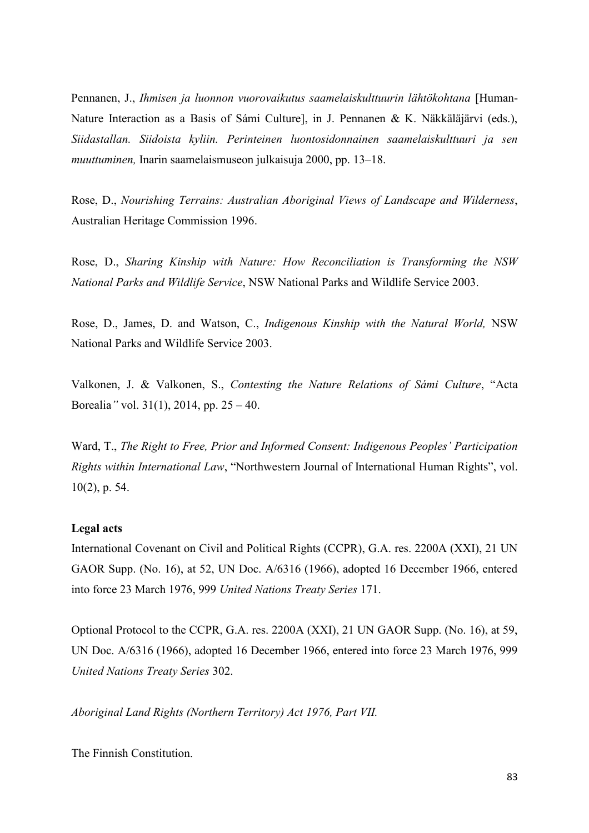Pennanen, J., *Ihmisen ja luonnon vuorovaikutus saamelaiskulttuurin lähtökohtana* [Human-Nature Interaction as a Basis of Sámi Culture], in J. Pennanen & K. Näkkäläjärvi (eds.), *Siidastallan. Siidoista kyliin. Perinteinen luontosidonnainen saamelaiskulttuuri ja sen muuttuminen,* Inarin saamelaismuseon julkaisuja 2000, pp. 13–18.

Rose, D., *Nourishing Terrains: Australian Aboriginal Views of Landscape and Wilderness*, Australian Heritage Commission 1996.

Rose, D., *Sharing Kinship with Nature: How Reconciliation is Transforming the NSW National Parks and Wildlife Service*, NSW National Parks and Wildlife Service 2003.

Rose, D., James, D. and Watson, C., *Indigenous Kinship with the Natural World,* NSW National Parks and Wildlife Service 2003.

Valkonen, J. & Valkonen, S., *Contesting the Nature Relations of Sámi Culture*, "Acta Borealia*"* vol. 31(1), 2014, pp. 25 – 40.

Ward, T., *The Right to Free, Prior and Informed Consent: Indigenous Peoples' Participation Rights within International Law*, "Northwestern Journal of International Human Rights", vol. 10(2), p. 54.

# **Legal acts**

International Covenant on Civil and Political Rights (CCPR), G.A. res. 2200A (XXI), 21 UN GAOR Supp. (No. 16), at 52, UN Doc. A/6316 (1966), adopted 16 December 1966, entered into force 23 March 1976, 999 *United Nations Treaty Series* 171.

Optional Protocol to the CCPR, G.A. res. 2200A (XXI), 21 UN GAOR Supp. (No. 16), at 59, UN Doc. A/6316 (1966), adopted 16 December 1966, entered into force 23 March 1976, 999 *United Nations Treaty Series* 302.

*Aboriginal Land Rights (Northern Territory) Act 1976, Part VII.*

The Finnish Constitution.